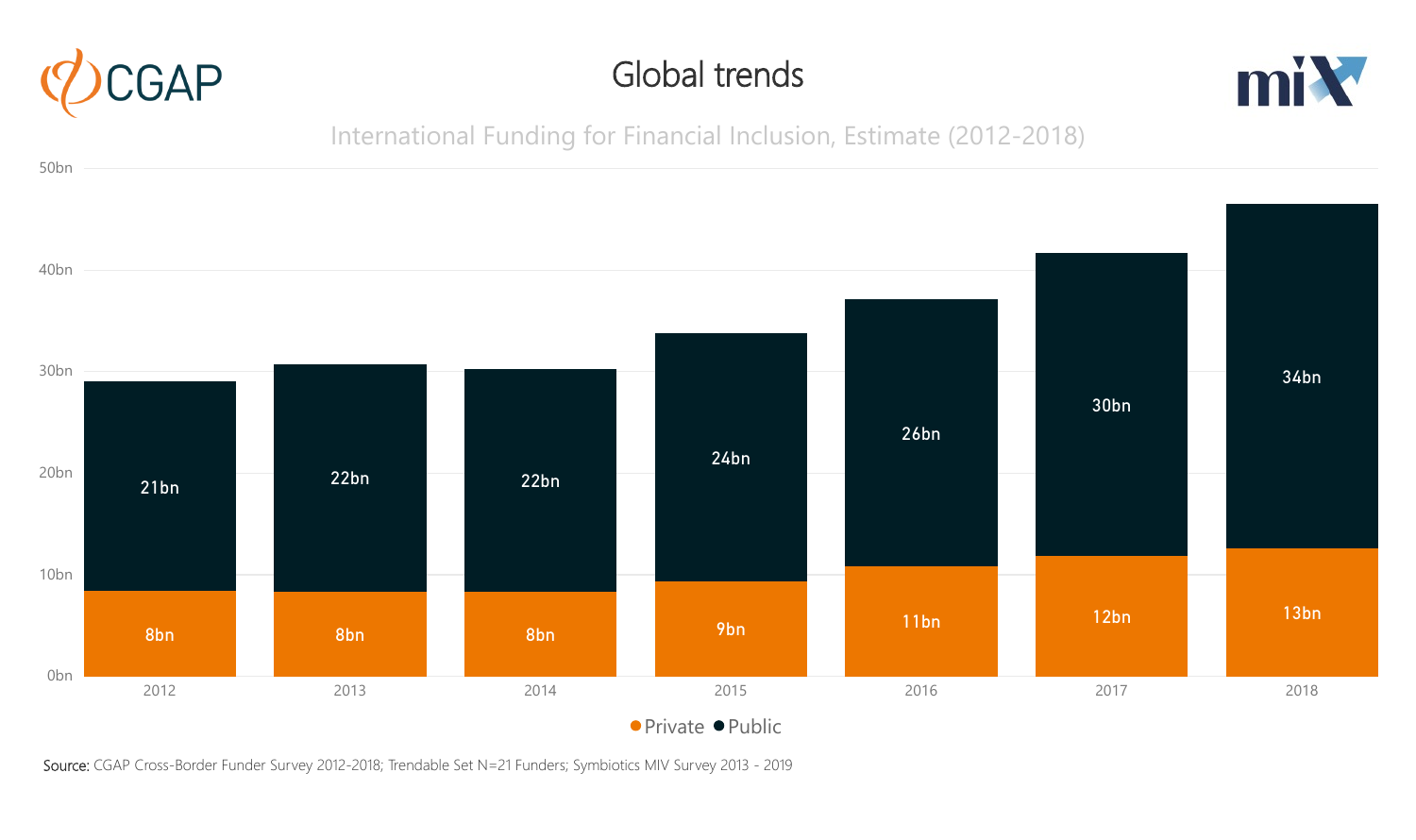

### Global trends



### International Funding for Financial Inclusion, Estimate (2012-2018)



Source: CGAP Cross-Border Funder Survey 2012-2018; Trendable Set N=21 Funders; Symbiotics MIV Survey 2013 - 2019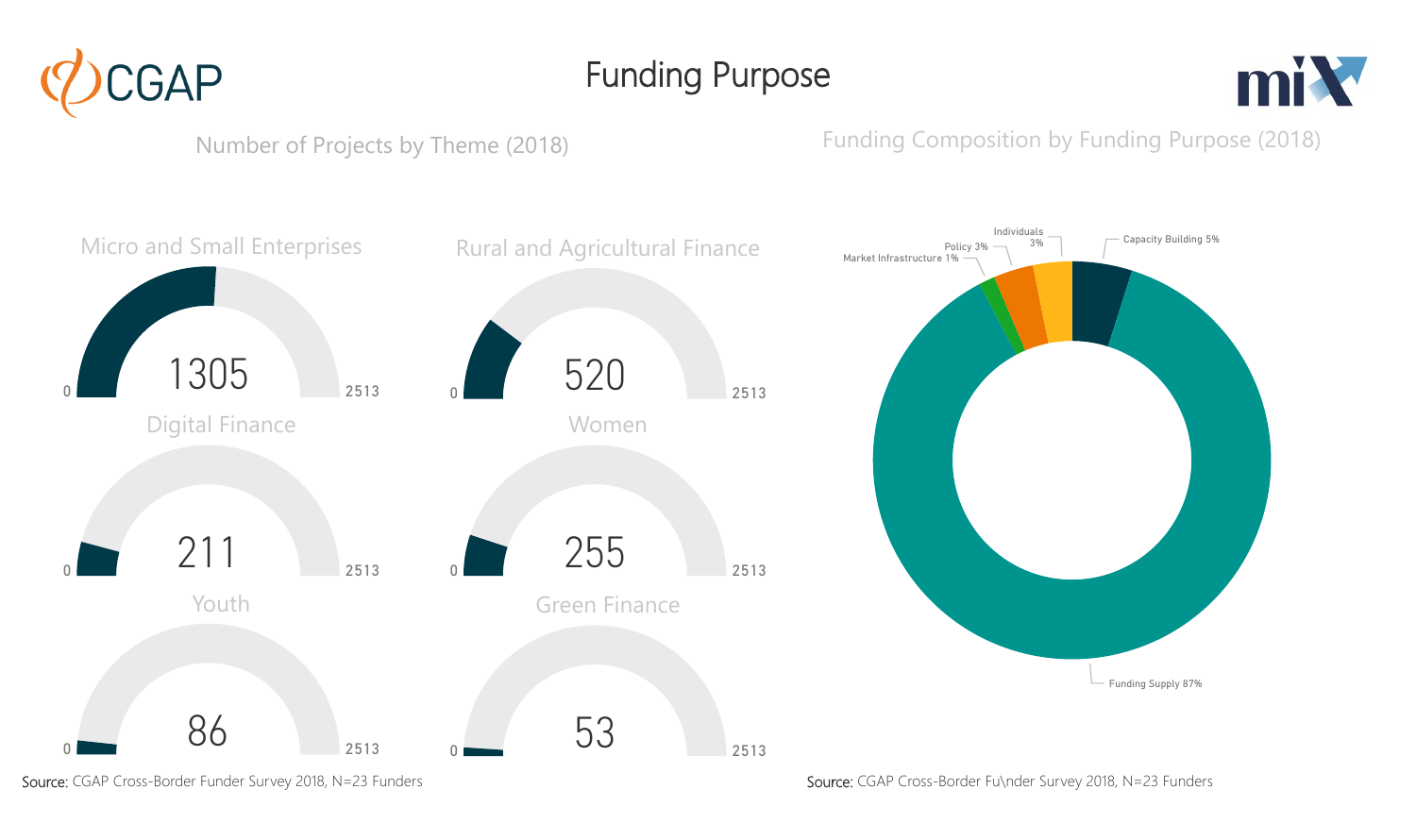

Funding Purpose



Number of Projects by Theme (2018)

#### Funding Composition by Funding Purpose (2018)



Source: CGAP Cross-Border Funder Survey 2018, N=23 Funders Source: CGAP Cross-Border Fu\nder Survey 2018, N=23 Funders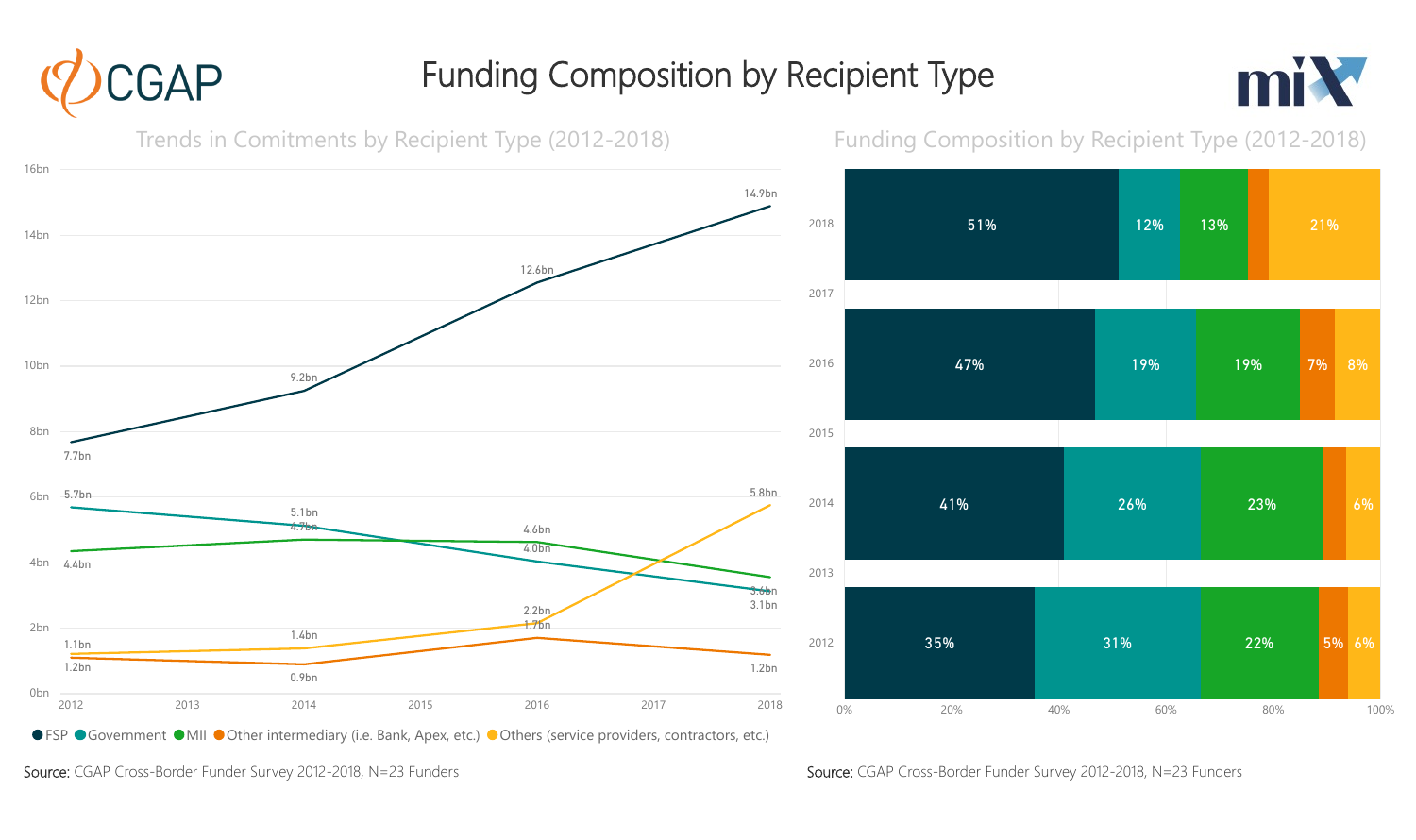# Funding Composition by Recipient Type





GAP

Source: CGAP Cross-Border Funder Survey 2012-2018, N=23 Funders Source: CGAP Cross-Border Funder Survey 2012-2018, N=23 Funders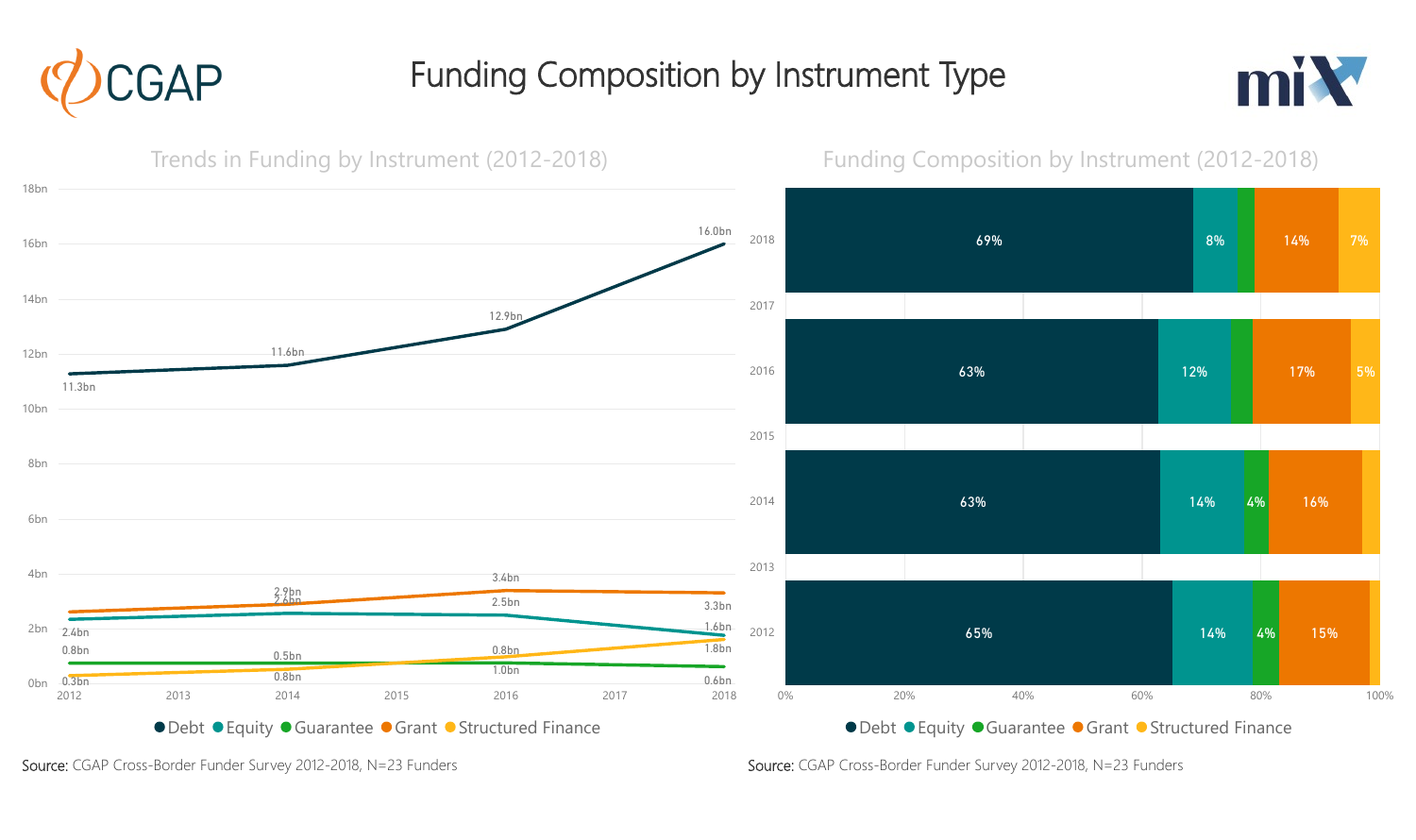

## Funding Composition by Instrument Type





Source: CGAP Cross-Border Funder Survey 2012-2018, N=23 Funders Source: CGAP Cross-Border Funder Survey 2012-2018, N=23 Funders